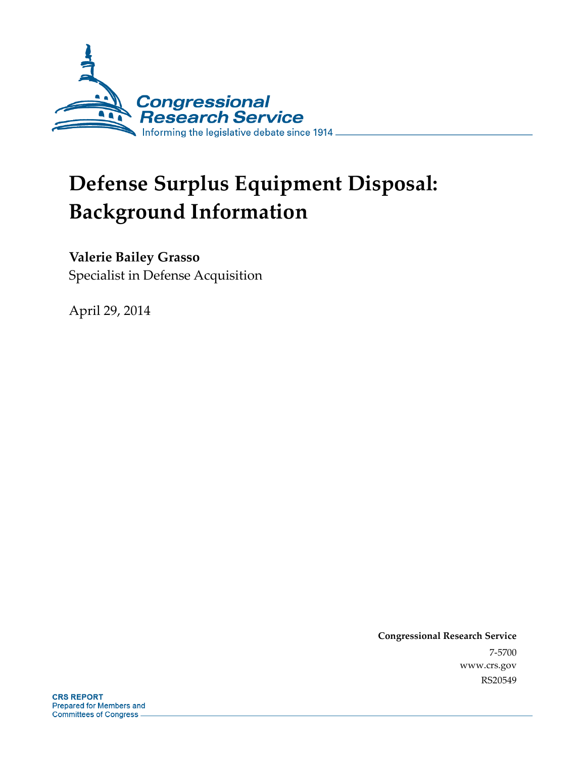

# **Defense Surplus Equipment Disposal: Background Information**

### **Valerie Bailey Grasso**

Specialist in Defense Acquisition

April 29, 2014

**Congressional Research Service**  7-5700 www.crs.gov RS20549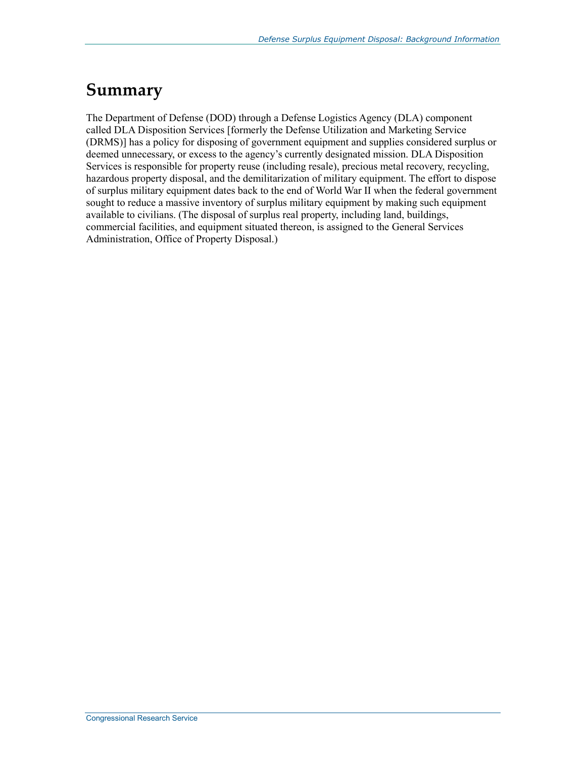### **Summary**

The Department of Defense (DOD) through a Defense Logistics Agency (DLA) component called DLA Disposition Services [formerly the Defense Utilization and Marketing Service (DRMS)] has a policy for disposing of government equipment and supplies considered surplus or deemed unnecessary, or excess to the agency's currently designated mission. DLA Disposition Services is responsible for property reuse (including resale), precious metal recovery, recycling, hazardous property disposal, and the demilitarization of military equipment. The effort to dispose of surplus military equipment dates back to the end of World War II when the federal government sought to reduce a massive inventory of surplus military equipment by making such equipment available to civilians. (The disposal of surplus real property, including land, buildings, commercial facilities, and equipment situated thereon, is assigned to the General Services Administration, Office of Property Disposal.)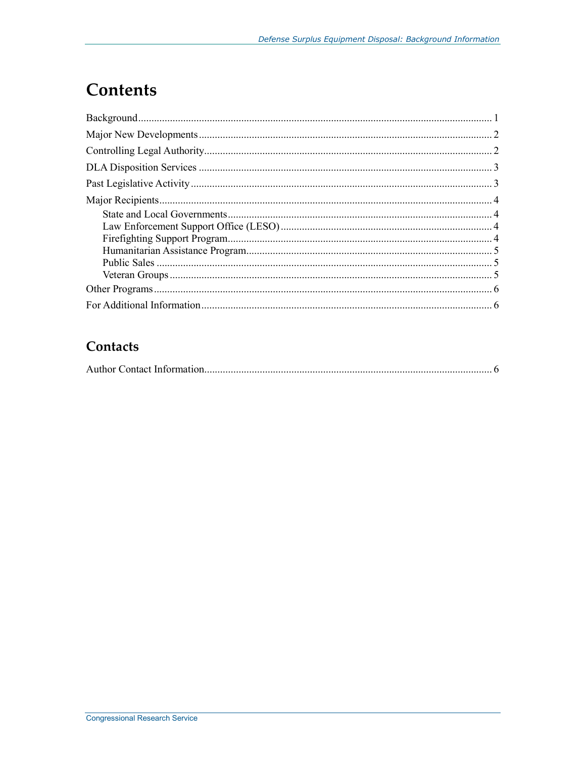# **Contents**

### Contacts

|--|--|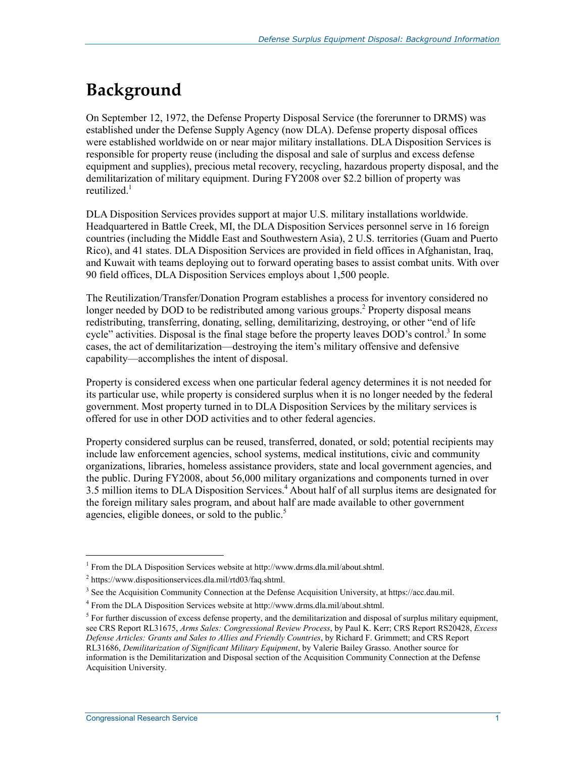# **Background**

On September 12, 1972, the Defense Property Disposal Service (the forerunner to DRMS) was established under the Defense Supply Agency (now DLA). Defense property disposal offices were established worldwide on or near major military installations. DLA Disposition Services is responsible for property reuse (including the disposal and sale of surplus and excess defense equipment and supplies), precious metal recovery, recycling, hazardous property disposal, and the demilitarization of military equipment. During FY2008 over \$2.2 billion of property was reutilized.<sup>1</sup>

DLA Disposition Services provides support at major U.S. military installations worldwide. Headquartered in Battle Creek, MI, the DLA Disposition Services personnel serve in 16 foreign countries (including the Middle East and Southwestern Asia), 2 U.S. territories (Guam and Puerto Rico), and 41 states. DLA Disposition Services are provided in field offices in Afghanistan, Iraq, and Kuwait with teams deploying out to forward operating bases to assist combat units. With over 90 field offices, DLA Disposition Services employs about 1,500 people.

The Reutilization/Transfer/Donation Program establishes a process for inventory considered no longer needed by DOD to be redistributed among various groups.<sup>2</sup> Property disposal means redistributing, transferring, donating, selling, demilitarizing, destroying, or other "end of life cycle" activities. Disposal is the final stage before the property leaves DOD's control.<sup>3</sup> In some cases, the act of demilitarization—destroying the item's military offensive and defensive capability—accomplishes the intent of disposal.

Property is considered excess when one particular federal agency determines it is not needed for its particular use, while property is considered surplus when it is no longer needed by the federal government. Most property turned in to DLA Disposition Services by the military services is offered for use in other DOD activities and to other federal agencies.

Property considered surplus can be reused, transferred, donated, or sold; potential recipients may include law enforcement agencies, school systems, medical institutions, civic and community organizations, libraries, homeless assistance providers, state and local government agencies, and the public. During FY2008, about 56,000 military organizations and components turned in over 3.5 million items to DLA Disposition Services.<sup>4</sup> About half of all surplus items are designated for the foreign military sales program, and about half are made available to other government agencies, eligible donees, or sold to the public.<sup>5</sup>

<sup>&</sup>lt;sup>1</sup> From the DLA Disposition Services website at http://www.drms.dla.mil/about.shtml.

<sup>&</sup>lt;sup>2</sup> https://www.dispositionservices.dla.mil/rtd03/faq.shtml.

<sup>&</sup>lt;sup>3</sup> See the Acquisition Community Connection at the Defense Acquisition University, at https://acc.dau.mil.

<sup>4</sup> From the DLA Disposition Services website at http://www.drms.dla.mil/about.shtml.

 $<sup>5</sup>$  For further discussion of excess defense property, and the demilitarization and disposal of surplus military equipment,</sup> see CRS Report RL31675, *Arms Sales: Congressional Review Process*, by Paul K. Kerr; CRS Report RS20428, *Excess Defense Articles: Grants and Sales to Allies and Friendly Countries*, by Richard F. Grimmett; and CRS Report RL31686, *Demilitarization of Significant Military Equipment*, by Valerie Bailey Grasso. Another source for information is the Demilitarization and Disposal section of the Acquisition Community Connection at the Defense Acquisition University.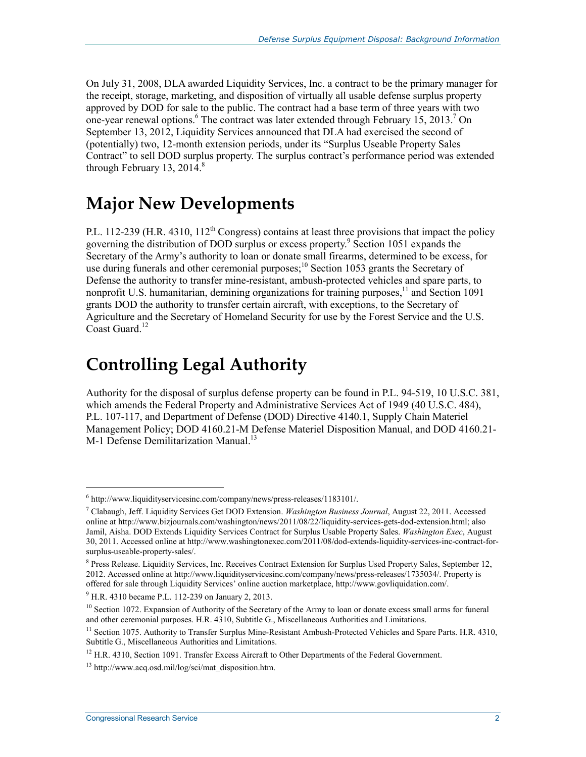On July 31, 2008, DLA awarded Liquidity Services, Inc. a contract to be the primary manager for the receipt, storage, marketing, and disposition of virtually all usable defense surplus property approved by DOD for sale to the public. The contract had a base term of three years with two one-year renewal options.<sup>6</sup> The contract was later extended through February 15, 2013.<sup>7</sup> On September 13, 2012, Liquidity Services announced that DLA had exercised the second of (potentially) two, 12-month extension periods, under its "Surplus Useable Property Sales Contract" to sell DOD surplus property. The surplus contract's performance period was extended through February 13,  $2014$ .<sup>8</sup>

### **Major New Developments**

P.L. 112-239 (H.R. 4310, 112<sup>th</sup> Congress) contains at least three provisions that impact the policy governing the distribution of DOD surplus or excess property.<sup>9</sup> Section 1051 expands the Secretary of the Army's authority to loan or donate small firearms, determined to be excess, for use during funerals and other ceremonial purposes;<sup>10</sup> Section 1053 grants the Secretary of Defense the authority to transfer mine-resistant, ambush-protected vehicles and spare parts, to nonprofit U.S. humanitarian, demining organizations for training purposes,  $11$  and Section 1091 grants DOD the authority to transfer certain aircraft, with exceptions, to the Secretary of Agriculture and the Secretary of Homeland Security for use by the Forest Service and the U.S. Coast Guard.<sup>12</sup>

### **Controlling Legal Authority**

Authority for the disposal of surplus defense property can be found in P.L. 94-519, 10 U.S.C. 381, which amends the Federal Property and Administrative Services Act of 1949 (40 U.S.C. 484), P.L. 107-117, and Department of Defense (DOD) Directive 4140.1, Supply Chain Materiel Management Policy; DOD 4160.21-M Defense Materiel Disposition Manual, and DOD 4160.21- M-1 Defense Demilitarization Manual.<sup>13</sup>

 $\overline{a}$ 

<sup>6</sup> http://www.liquidityservicesinc.com/company/news/press-releases/1183101/.

<sup>7</sup> Clabaugh, Jeff. Liquidity Services Get DOD Extension. *Washington Business Journal*, August 22, 2011. Accessed online at http://www.bizjournals.com/washington/news/2011/08/22/liquidity-services-gets-dod-extension.html; also Jamil, Aisha. DOD Extends Liquidity Services Contract for Surplus Usable Property Sales. *Washington Exec*, August 30, 2011. Accessed online at http://www.washingtonexec.com/2011/08/dod-extends-liquidity-services-inc-contract-forsurplus-useable-property-sales/.

<sup>&</sup>lt;sup>8</sup> Press Release. Liquidity Services, Inc. Receives Contract Extension for Surplus Used Property Sales, September 12, 2012. Accessed online at http://www.liquidityservicesinc.com/company/news/press-releases/1735034/. Property is offered for sale through Liquidity Services' online auction marketplace, http://www.govliquidation.com/.

<sup>&</sup>lt;sup>9</sup> H.R. 4310 became P.L. 112-239 on January 2, 2013.

 $10$  Section 1072. Expansion of Authority of the Secretary of the Army to loan or donate excess small arms for funeral and other ceremonial purposes. H.R. 4310, Subtitle G., Miscellaneous Authorities and Limitations.

<sup>&</sup>lt;sup>11</sup> Section 1075. Authority to Transfer Surplus Mine-Resistant Ambush-Protected Vehicles and Spare Parts. H.R. 4310, Subtitle G., Miscellaneous Authorities and Limitations.

 $12$  H.R. 4310, Section 1091. Transfer Excess Aircraft to Other Departments of the Federal Government.

<sup>&</sup>lt;sup>13</sup> http://www.acq.osd.mil/log/sci/mat\_disposition.htm.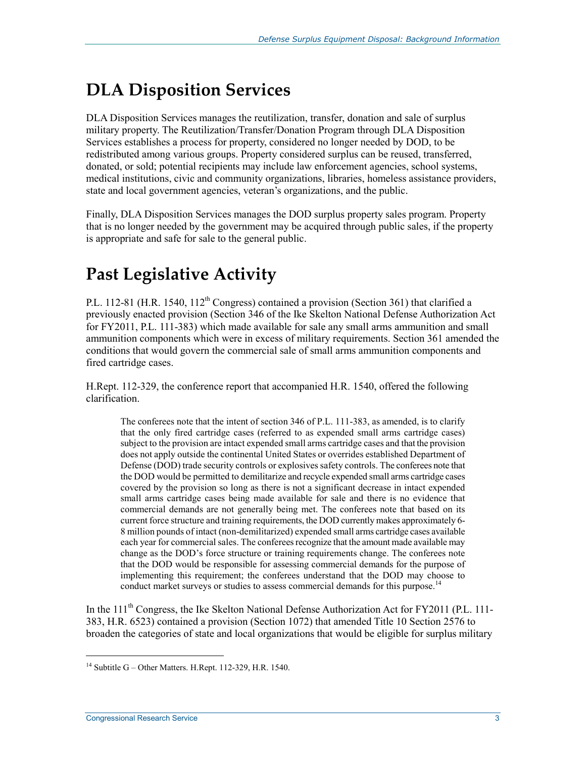# **DLA Disposition Services**

DLA Disposition Services manages the reutilization, transfer, donation and sale of surplus military property. The Reutilization/Transfer/Donation Program through DLA Disposition Services establishes a process for property, considered no longer needed by DOD, to be redistributed among various groups. Property considered surplus can be reused, transferred, donated, or sold; potential recipients may include law enforcement agencies, school systems, medical institutions, civic and community organizations, libraries, homeless assistance providers, state and local government agencies, veteran's organizations, and the public.

Finally, DLA Disposition Services manages the DOD surplus property sales program. Property that is no longer needed by the government may be acquired through public sales, if the property is appropriate and safe for sale to the general public.

# **Past Legislative Activity**

P.L. 112-81 (H.R. 1540, 112<sup>th</sup> Congress) contained a provision (Section 361) that clarified a previously enacted provision (Section 346 of the Ike Skelton National Defense Authorization Act for FY2011, P.L. 111-383) which made available for sale any small arms ammunition and small ammunition components which were in excess of military requirements. Section 361 amended the conditions that would govern the commercial sale of small arms ammunition components and fired cartridge cases.

H.Rept. 112-329, the conference report that accompanied H.R. 1540, offered the following clarification.

The conferees note that the intent of section 346 of P.L. 111-383, as amended, is to clarify that the only fired cartridge cases (referred to as expended small arms cartridge cases) subject to the provision are intact expended small arms cartridge cases and that the provision does not apply outside the continental United States or overrides established Department of Defense (DOD) trade security controls or explosives safety controls. The conferees note that the DOD would be permitted to demilitarize and recycle expended small arms cartridge cases covered by the provision so long as there is not a significant decrease in intact expended small arms cartridge cases being made available for sale and there is no evidence that commercial demands are not generally being met. The conferees note that based on its current force structure and training requirements, the DOD currently makes approximately 6- 8 million pounds of intact (non-demilitarized) expended small arms cartridge cases available each year for commercial sales. The conferees recognize that the amount made available may change as the DOD's force structure or training requirements change. The conferees note that the DOD would be responsible for assessing commercial demands for the purpose of implementing this requirement; the conferees understand that the DOD may choose to conduct market surveys or studies to assess commercial demands for this purpose.<sup>14</sup>

In the 111<sup>th</sup> Congress, the Ike Skelton National Defense Authorization Act for FY2011 (P.L. 111-383, H.R. 6523) contained a provision (Section 1072) that amended Title 10 Section 2576 to broaden the categories of state and local organizations that would be eligible for surplus military

<sup>&</sup>lt;sup>14</sup> Subtitle G – Other Matters. H.Rept. 112-329, H.R. 1540.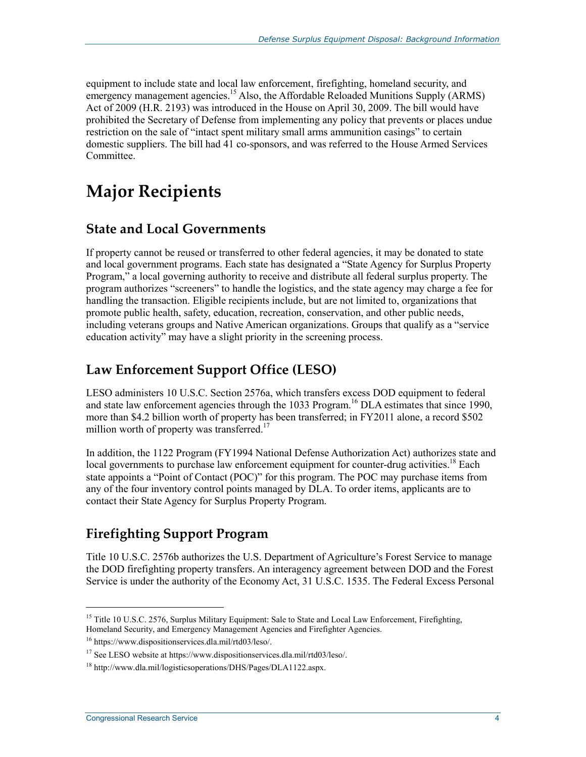equipment to include state and local law enforcement, firefighting, homeland security, and emergency management agencies.<sup>15</sup> Also, the Affordable Reloaded Munitions Supply (ARMS) Act of 2009 (H.R. 2193) was introduced in the House on April 30, 2009. The bill would have prohibited the Secretary of Defense from implementing any policy that prevents or places undue restriction on the sale of "intact spent military small arms ammunition casings" to certain domestic suppliers. The bill had 41 co-sponsors, and was referred to the House Armed Services Committee.

## **Major Recipients**

#### **State and Local Governments**

If property cannot be reused or transferred to other federal agencies, it may be donated to state and local government programs. Each state has designated a "State Agency for Surplus Property Program," a local governing authority to receive and distribute all federal surplus property. The program authorizes "screeners" to handle the logistics, and the state agency may charge a fee for handling the transaction. Eligible recipients include, but are not limited to, organizations that promote public health, safety, education, recreation, conservation, and other public needs, including veterans groups and Native American organizations. Groups that qualify as a "service education activity" may have a slight priority in the screening process.

### **Law Enforcement Support Office (LESO)**

LESO administers 10 U.S.C. Section 2576a, which transfers excess DOD equipment to federal and state law enforcement agencies through the 1033 Program.<sup>16</sup> DLA estimates that since 1990, more than \$4.2 billion worth of property has been transferred; in FY2011 alone, a record \$502 million worth of property was transferred.<sup>17</sup>

In addition, the 1122 Program (FY1994 National Defense Authorization Act) authorizes state and local governments to purchase law enforcement equipment for counter-drug activities.<sup>18</sup> Each state appoints a "Point of Contact (POC)" for this program. The POC may purchase items from any of the four inventory control points managed by DLA. To order items, applicants are to contact their State Agency for Surplus Property Program.

### **Firefighting Support Program**

Title 10 U.S.C. 2576b authorizes the U.S. Department of Agriculture's Forest Service to manage the DOD firefighting property transfers. An interagency agreement between DOD and the Forest Service is under the authority of the Economy Act, 31 U.S.C. 1535. The Federal Excess Personal

<sup>&</sup>lt;sup>15</sup> Title 10 U.S.C. 2576, Surplus Military Equipment: Sale to State and Local Law Enforcement, Firefighting, Homeland Security, and Emergency Management Agencies and Firefighter Agencies.

<sup>16</sup> https://www.dispositionservices.dla.mil/rtd03/leso/.

<sup>17</sup> See LESO website at https://www.dispositionservices.dla.mil/rtd03/leso/.

<sup>18</sup> http://www.dla.mil/logisticsoperations/DHS/Pages/DLA1122.aspx.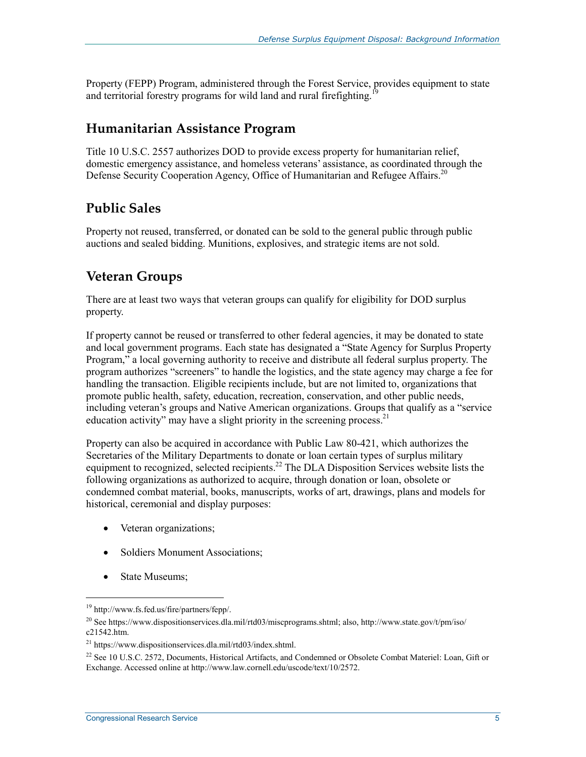Property (FEPP) Program, administered through the Forest Service, provides equipment to state and territorial forestry programs for wild land and rural firefighting.

#### **Humanitarian Assistance Program**

Title 10 U.S.C. 2557 authorizes DOD to provide excess property for humanitarian relief, domestic emergency assistance, and homeless veterans' assistance, as coordinated through the Defense Security Cooperation Agency, Office of Humanitarian and Refugee Affairs.<sup>20</sup>

#### **Public Sales**

Property not reused, transferred, or donated can be sold to the general public through public auctions and sealed bidding. Munitions, explosives, and strategic items are not sold.

#### **Veteran Groups**

There are at least two ways that veteran groups can qualify for eligibility for DOD surplus property.

If property cannot be reused or transferred to other federal agencies, it may be donated to state and local government programs. Each state has designated a "State Agency for Surplus Property Program," a local governing authority to receive and distribute all federal surplus property. The program authorizes "screeners" to handle the logistics, and the state agency may charge a fee for handling the transaction. Eligible recipients include, but are not limited to, organizations that promote public health, safety, education, recreation, conservation, and other public needs, including veteran's groups and Native American organizations. Groups that qualify as a "service education activity" may have a slight priority in the screening process.<sup>21</sup>

Property can also be acquired in accordance with Public Law 80-421, which authorizes the Secretaries of the Military Departments to donate or loan certain types of surplus military equipment to recognized, selected recipients.<sup>22</sup> The DLA Disposition Services website lists the following organizations as authorized to acquire, through donation or loan, obsolete or condemned combat material, books, manuscripts, works of art, drawings, plans and models for historical, ceremonial and display purposes:

- Veteran organizations;
- Soldiers Monument Associations;
- State Museums;

 $\overline{a}$ 

<sup>19</sup> http://www.fs.fed.us/fire/partners/fepp/.

<sup>&</sup>lt;sup>20</sup> See https://www.dispositionservices.dla.mil/rtd03/miscprograms.shtml; also, http://www.state.gov/t/pm/iso/ c21542.htm.

<sup>21</sup> https://www.dispositionservices.dla.mil/rtd03/index.shtml.

<sup>&</sup>lt;sup>22</sup> See 10 U.S.C. 2572, Documents, Historical Artifacts, and Condemned or Obsolete Combat Materiel: Loan, Gift or Exchange. Accessed online at http://www.law.cornell.edu/uscode/text/10/2572.